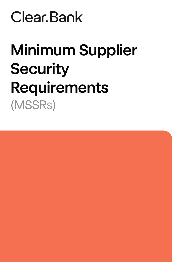# Clear Bank

# **Minimum Supplier Security Requirements** (MSSRS)

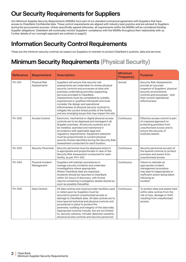# **Our Security Requirements for Suppliers**

Our Minimum Supplier Security Requirements (MSSRs) form part of our standard contractual agreement with Suppliers that have access to ClearBank Confidential data. These control requirements are aligned with industry best practice and are advised to Suppliers during the procurement process. Unless specifically agreed otherwise, all requirements within the MSSRs will be considered binding Supplier obligations. ClearBank will continually monitor Suppliers' compliance with the MSSRs throughout their relationship with us. Further details of our oversight approach are outlined on page12.

# **Information Security Control Requirements**

These are the minimum security controls we expect our Suppliers to maintain to protect ClearBank's systems, data and services.

# **Minimum Security Requirements (Physical Security)**

| <b>Reference</b> | <b>Requirement</b>                  | <b>Description</b>                                                                                                                                                                                                                                                                                                                                                                                                                                                                                                            | <b>Minimum</b><br><b>Frequency</b> | <b>Purpose</b>                                                                                                                                                                                      |
|------------------|-------------------------------------|-------------------------------------------------------------------------------------------------------------------------------------------------------------------------------------------------------------------------------------------------------------------------------------------------------------------------------------------------------------------------------------------------------------------------------------------------------------------------------------------------------------------------------|------------------------------------|-----------------------------------------------------------------------------------------------------------------------------------------------------------------------------------------------------|
| PH-001           | <b>Physical Risk</b><br>Assessments | Suppliers will ensure that security risk<br>assessments are undertaken to review physical<br>security controls and processes at sites and<br>premises undertaking activities supporting<br>services provided to ClearBank.<br>Assessments must be completed by suitably<br>experienced or qualified individuals and must<br>consider the design and operational<br>effectiveness of physical security controls to<br>mitigate the current threat profile of the facility<br>and any emerging issues that may impact the site. | Annual                             | <b>Security Risk Assessments</b><br>provide an accurate<br>snapshot of Suppliers' physical<br>security environments,<br>controls and processes - and<br>their current operational<br>effectiveness. |
| PH-002           | <b>Access Control</b>               | Electronic, mechanical or digital physical access<br>controls are to be deployed and managed in all<br>Supplier premises. All security systems are to<br>be installed, operated and maintained in<br>accordance with applicable legal and<br>regulatory requirements. Equipment selection<br>must be proportionate to current physical<br>security threats identified during the Security Risk<br>Assessment conducted for each location.                                                                                     | Continuous                         | Effective access control is part<br>of a layered approach to<br>protecting premises from<br>unauthorised access and to<br>ensure the security of<br>business assets.                                |
| PH-003           | <b>Security Personnel</b>           | Security personnel must be deployed where it<br>is appropriate and proportionate in view of the<br>Security Risk Assessment conducted for each<br>facility, as per PHY-001.                                                                                                                                                                                                                                                                                                                                                   | Continuous                         | Security personnel are part of<br>the layered controls to protect<br>premises and assets from<br>unauthorised access.                                                                               |
| PH-004           | Physical Incident<br>Management     | Suppliers will maintain procedures to<br>manage security incidents and undertake<br>investigations where appropriate.<br>Where ClearBank data are impacted,<br>incidents should be reported to ClearBank<br>within 24-hours of discovery, with formal<br>reports containing investigation details shared as<br>soon as possible thereafter.                                                                                                                                                                                   | Continuous                         | Failure to maintain an<br>appropriate incident<br>management procedure<br>may lead to inappropriate or<br>inefficient action being taken<br>following an<br>incident.                               |
| PH-005           | Data Centres                        | All data centres and cloud provider facilities used<br>or relied upon by Suppliers must be<br>secured to prevent unauthorised access or<br>damage to ClearBank data. All data centres are to<br>have layered technical and physical controls and<br>procedures in place to protect the<br>perimeter, building and integrity of the data halls.<br>Appropriate controls include, but are not limited<br>to, security cameras, intruder detection systems,<br>physical access controls and security personnel.                  | Continuous                         | To protect data and assets held<br>within data centres from the<br>risk of loss, damage or theft<br>resulting from unauthorised<br>access.                                                          |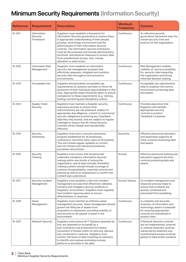# **Minimum Security Requirements (Information Security)**

| <b>Reference</b> | <b>Requirement</b>                    | <b>Description</b>                                                                                                                                                                                                                                                                                                                                                                                                                                                    | <b>Minimum</b><br><b>Frequency</b> | <b>Purpose</b>                                                                                                                                                                                 |
|------------------|---------------------------------------|-----------------------------------------------------------------------------------------------------------------------------------------------------------------------------------------------------------------------------------------------------------------------------------------------------------------------------------------------------------------------------------------------------------------------------------------------------------------------|------------------------------------|------------------------------------------------------------------------------------------------------------------------------------------------------------------------------------------------|
| $IS-001$         | Information<br>Security<br>Framework  | Suppliers must establish a framework for<br>Information Security governance to ensure there<br>is appropriate understanding of their people,<br>process, technology environment and the<br>effectiveness of their information security<br>controls. The information security framework<br>must be documented and include administrative,<br>technical, and physical measures to protect data<br>from unauthorised access, loss, misuse,<br>alteration or destruction. | Continuous                         | An effective security<br>governance framework sets the<br>overall security tone and<br>posture for the organisation.                                                                           |
| $IS-002$         | <b>Information Risk</b><br>Management | Suppliers must establish an information<br>security risk management program that<br>effectively assesses, mitigates and monitors<br>security risks throughout and around its<br>environments.                                                                                                                                                                                                                                                                         | Continuous                         | Risk Management enables<br>visibility of, and accountability<br>for, security risks impacting<br>the organisation and drives<br>informed decision making.                                      |
| $IS - 003$       | Acceptable Use                        | Suppliers should publish acceptable use<br>requirements on systems and data to inform all<br>personnel of their individual responsibilities in this<br>area. Appropriate steps should be taken to ensure<br>compliance to these requirements (e.g. training,<br>testing, monitoring and disciplinary action).                                                                                                                                                         | Continuous                         | Acceptable use requirements<br>help to underpin the control<br>environment protecting data<br>and assets.                                                                                      |
| $IS-004$         | Supply Chain<br>Security              | Suppliers must maintain a Supplier security<br>assurance process to ensure their<br>subcontractors are risk assessed, subject to<br>appropriate due diligence, commit to contractual<br>security obligations protecting any ClearBank<br>data they may access, and are subject to regular<br>oversight to ensure that all critical security<br>controls remain design and operationally<br>effective.                                                                 | Continuous                         | Provides assurance that<br>Suppliers will maintain<br>appropriate security<br>controls to protect<br>ClearBank's interests.                                                                    |
| $IS-005$         | Security<br>Awareness                 | Suppliers must have a security awareness<br>program established for all employees,<br>contractors, and third-party users of its systems.<br>This will include regular updates on current<br>security threats and relevant procedures,<br>processes and policies.                                                                                                                                                                                                      | Quarterly                          | Effective personnel education<br>and awareness supports all<br>other controls protecting data<br>and assets.                                                                                   |
| $IS-006$         | Security<br>Training                  | Suppliers must ensure that all personnel<br>undertake mandatory information security<br>training within one month of joining the<br>organisation, and at least annually thereafter.<br>Training content should include coverage of<br>common threats/attacks, essential controls and<br>policies as well as an assessment to confirm the<br>content was understood.                                                                                                   | Annual                             | Effective personnel training and<br>education supports all other<br>controls protecting data and<br>assets.                                                                                    |
| $IS-007$         | Security Incident<br>Management       | Suppliers must establish a Security incident<br>management process that effectively validates,<br>contains and mitigates security incidents in<br>Suppliers' environment. Suppliers must regularly<br>test incident response plans to ensure<br>effectiveness of response.                                                                                                                                                                                            | <b>Annual Testing</b>              | An incident management and<br>response process helps to<br>ensure that incidents are<br>quickly contained and<br>prevented from escalating.                                                    |
| $IS-008$         | Asset<br>Management                   | Suppliers must maintain an effective asset<br>management process. Asset management should<br>govern the lifecycle of assets from<br>acquisition to retirement, providing visibility of<br>and security to all classes of asset in the<br>environment.                                                                                                                                                                                                                 | Continuous                         | A complete and accurate<br>inventory of information and<br>technology assets is essential<br>for ensuring appropriate<br>controls are maintained to<br>protect them.                           |
| $IS-009$         | Network Security                      | Suppliers must ensure all IT Systems operated by<br>it(or are operated on its behalf by a<br>sub-contractor) are protected from lateral<br>movement of threats within its (and any relevant<br>sub-contractors') network. Suppliers must<br>monitor the flows of data transiting its networks<br>to identify and analyse anomalous access<br>patterns or activities in the data.                                                                                      | Continuous                         | If Network Security controls<br>are not implemented, external<br>or internal networks could be<br>subverted by attackers and<br>unauthorised access could be<br>gained to data and/or systems. |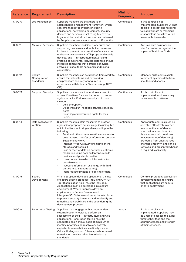| <b>Reference</b> | <b>Requirement</b>                   | <b>Description</b>                                                                                                                                                                                                                                                                                                                                                                                                                                                                                                                                                                                                                                                                                         | <b>Minimum</b><br><b>Frequency</b> | <b>Purpose</b>                                                                                                                                                                                                                                                                                                                    |
|------------------|--------------------------------------|------------------------------------------------------------------------------------------------------------------------------------------------------------------------------------------------------------------------------------------------------------------------------------------------------------------------------------------------------------------------------------------------------------------------------------------------------------------------------------------------------------------------------------------------------------------------------------------------------------------------------------------------------------------------------------------------------------|------------------------------------|-----------------------------------------------------------------------------------------------------------------------------------------------------------------------------------------------------------------------------------------------------------------------------------------------------------------------------------|
| IS-0010          | Log Management                       | Suppliers must ensure that there is an<br>established log management framework which<br>confirms that key IT systems including<br>applications, networking equipment, security<br>devices and servers are set to log key events.<br>Logs must be centralized, secured and retained<br>by Suppliers for a minimum period of 12 months.                                                                                                                                                                                                                                                                                                                                                                      | Continuous                         | If this control is not<br>implemented, Suppliers will not<br>be able to detect and respond<br>to inappropriate or malicious<br>or anomalous activities within<br>reasonable timescales.                                                                                                                                           |
| IS-0011          | <b>Malware Defenses</b>              | Suppliers must have policies, procedures and<br>supporting processes and technical measures<br>in place to prevent the execution of malware on<br>end-point devices (i.e. staff laptops, and mobile<br>devices) and IT infrastructure network and<br>systems components. Malware defenses should<br>include mechanisms that perform behavioral<br>analysis of executable code and sandboxing<br>capabilities.                                                                                                                                                                                                                                                                                              | Continuous                         | Anti-malware solutions are<br>vital for protection against the<br>impact of Malicious Code.                                                                                                                                                                                                                                       |
| IS-0012          | Secure<br>Configuration<br>Standards | Suppliers must have an established framework to<br>ensure that all systems and networking<br>equipment are securely configured in<br>accordance with Industry Standards (e.g. NIST,<br>CIS).                                                                                                                                                                                                                                                                                                                                                                                                                                                                                                               | Continuous                         | Standard build controls help<br>to protect systems/data from<br>unauthorised access.                                                                                                                                                                                                                                              |
| $IS - 0013$      | <b>Endpoint Security</b>             | Suppliers must ensure that endpoints used to<br>access ClearBank Data are hardened to protect<br>against attacks. Endpoint security build must<br>include:<br>Disk Encryption.<br>Disabling all un-needed software/services/<br>ports<br>Disabling administration rights for local<br>users.                                                                                                                                                                                                                                                                                                                                                                                                               | Continuous                         | If this control is not<br>implemented, endpoints may<br>be vulnerable to attacks.                                                                                                                                                                                                                                                 |
| IS-0014          | Data Leakage Pre-<br>vention         | Suppliers must maintain measures to protect<br>against inappropriate data leakage including, but<br>not limited to, monitoring and responding to the<br>following:<br>Email and other communication channels for<br>unauthorised transfer of information outside<br>Suppliers network.<br>Internet / Web Gateway (including online<br>storage and webmail)<br>Loss or theft of data on portable electronic<br>media (including data on laptops, mobile<br>devices, and portable media).<br>Unauthorised transfer of Information to<br>$\ddot{\phantom{0}}$<br>portable media.<br>Insecure Information exchange with third<br>parties (e.g., subcontractors).<br>Inappropriate printing or copying of data. | Continuous                         | Appropriate controls must be<br>operated effectively in order<br>to ensure that confidential<br>information is restricted to<br>those who should be allowed<br>to access it (confidentiality),<br>protected from unauthorised<br>changes (integrity) and can be<br>retrieved and presented when it<br>is required (availability). |
| $IS - 0015$      | Secure<br>Development                | Where Suppliers develop applications, the use<br>of secure coding practices, including OWASP<br>Top 10 application risks, must be included.<br>Applications must be developed in a secure<br>environment. Where Suppliers develop<br>applications, a Secure Development<br>Lifecycle (SDLC) framework must be established<br>to prevent security breaches and to identify and<br>remediate vulnerabilities in the code during the<br>development process.                                                                                                                                                                                                                                                  | Continuous                         | Controls protecting application<br>development help to ensure<br>that applications are secure<br>prior to deployment.                                                                                                                                                                                                             |
| IS-0016          | <b>Penetration Testing</b>           | Suppliers must engage with an independent<br>external security tester to perform an<br>assessment of their IT infrastructure and web<br>applications. Penetration testing must be<br>conducted on an annual basis at minimum to<br>identify, prioritise and resolve any actively<br>exploitable vulnerabilities in a timely manner.<br>Critical findings should follow a predetermined<br>remediation timeline reflective to industry<br>standards.                                                                                                                                                                                                                                                        | Annual                             | If this control is not<br>implemented, Suppliers may<br>be unable to assess the cyber<br>threats they face and the<br>appropriateness and strength<br>of their defenses.                                                                                                                                                          |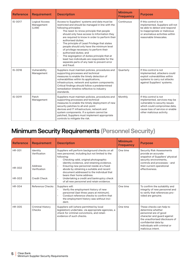| <b>Reference</b> | <b>Requirement</b>                           | <b>Description</b>                                                                                                                                                                                                                                                                                                                                                                                                                                                                                                                                                                                                                       | <b>Minimum</b><br><b>Frequency</b> | <b>Purpose</b>                                                                                                                                                                          |
|------------------|----------------------------------------------|------------------------------------------------------------------------------------------------------------------------------------------------------------------------------------------------------------------------------------------------------------------------------------------------------------------------------------------------------------------------------------------------------------------------------------------------------------------------------------------------------------------------------------------------------------------------------------------------------------------------------------------|------------------------------------|-----------------------------------------------------------------------------------------------------------------------------------------------------------------------------------------|
| IS-0017          | <b>Logical Access</b><br>Management<br>(LAM) | Access to Suppliers' systems and data must be<br>restricted and should be managed in line with the<br>following principles:<br>The need-to-know principle that people<br>should only have access to Information they<br>are required to know in order to perform their<br>authorised duties;<br>The principle of Least Privilege that states<br>people should only have the minimum level<br>of privilege necessary to perform their<br>authorized duties; and<br>$\bullet$<br>The segregation of duties principle that at<br>least two individuals are responsible for the<br>separate parts of any task to prevent error<br>and fraud. | Continuous                         | If this control is not<br>implemented, Suppliers will not<br>be able to detect and respond<br>to inappropriate or malicious<br>or anomalous activities within<br>reasonable timescales. |
| IS-0018          | Vulnerability<br>Management                  | Suppliers must maintain policies, procedures and<br>supporting processes and technical<br>measures to enable the timely detection of<br>vulnerabilities within its applications,<br>infrastructure, network and system components.<br>Critical findings should follow a predetermined<br>remediation timeline reflective to industry<br>standards.                                                                                                                                                                                                                                                                                       | Quarterly                          | If this control is not<br>implemented, attackers could<br>exploit vulnerabilities within<br>systems to carry out attacks<br>against Suppliers' systems.                                 |
| IS-0019          | Patch<br>Management                          | Suppliers must maintain policies, procedures and<br>supporting processes and technical<br>measures to enable the timely deployment of new<br>security patches to all end-point<br>devices and IT infrastructure, network and<br>system components. If a system cannot be<br>patched, Suppliers must implement appropriate<br>controls to mitigate the risk.                                                                                                                                                                                                                                                                              | Monthly                            | If this control is not<br>implemented, services may be<br>vulnerable to security issues<br>which could compromise data,<br>cause loss of service or enable<br>other malicious activity. |

# **Minimum Security Requirements (Personnel Security)**

| <b>Reference</b>        | <b>Requirement</b>                                  | <b>Description</b>                                                                                                                                                                                                                                                                                                                                                        | <b>Minimum</b><br><b>Frequency</b> | <b>Purpose</b>                                                                                                                                                                                                       |
|-------------------------|-----------------------------------------------------|---------------------------------------------------------------------------------------------------------------------------------------------------------------------------------------------------------------------------------------------------------------------------------------------------------------------------------------------------------------------------|------------------------------------|----------------------------------------------------------------------------------------------------------------------------------------------------------------------------------------------------------------------|
| <b>HR-001</b><br>HR-002 | Identity<br>Verification<br>Address<br>Verification | Suppliers will perform background checks on all<br>new personnel, including but not limited to the<br>following:<br>Checking valid, original photographic<br>identity evidence, and retaining evidence.<br>Ensuring new personnel reside at a fixed<br>abode by obtaining a suitable and recent<br>document addressed to the individual that<br>bears their home address. | One time                           | <b>Security Risk Assessments</b><br>provide an accurate<br>snapshot of Suppliers' physical<br>security environments,<br>controls and processes - and<br>their current operational<br>effectiveness.                  |
| HR-003                  | <b>Credit Check</b>                                 | Undertaking a credit and bankruptcy check<br>of all new personnel and retain evidence.                                                                                                                                                                                                                                                                                    |                                    |                                                                                                                                                                                                                      |
| <b>HR-004</b>           | Reference Checks                                    | Suppliers will:<br>Verify the employment history of new<br>personnel (last three years at minimum).<br>Conduct reference checks to confirm that<br>$\bullet$<br>the employment history was without inci-<br>dent.                                                                                                                                                         | One time                           | To confirm the suitability and<br>integrity of new personnel and<br>to verify that references pro-<br>vided are genuine.                                                                                             |
| HR-005                  | <b>Criminal History</b><br>Checks                   | Suppliers will (where permitted by local<br>legislation) undertake, via appropriate agencies, a<br>check for criminal convictions, and retain<br>evidence of such checks.                                                                                                                                                                                                 | One time                           | These checks can help to<br>determine whether<br>personnel are of good<br>character and guard against<br>the unauthorised disclosure of<br>confidential data by<br>individuals with criminal or<br>malicious intent. |